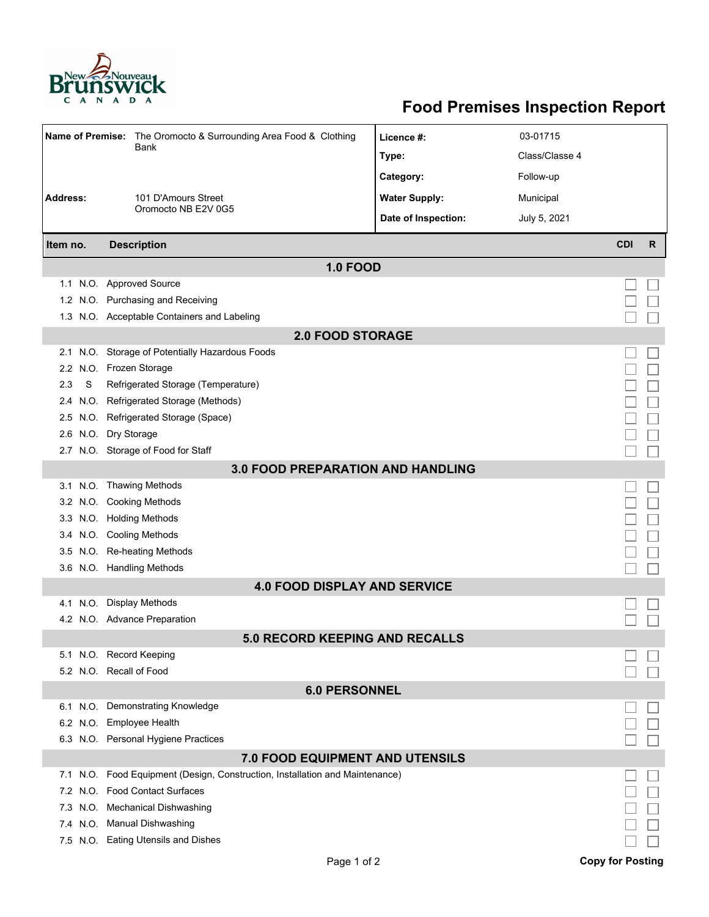

## **Food Premises Inspection Report**

| Name of Premise: The Oromocto & Surrounding Area Food & Clothing |                                                                          | Licence #:           | 03-01715       |            |   |  |
|------------------------------------------------------------------|--------------------------------------------------------------------------|----------------------|----------------|------------|---|--|
|                                                                  | Bank                                                                     | Type:                | Class/Classe 4 |            |   |  |
|                                                                  |                                                                          | Category:            | Follow-up      |            |   |  |
| <b>Address:</b>                                                  | 101 D'Amours Street                                                      | <b>Water Supply:</b> | Municipal      |            |   |  |
|                                                                  | Oromocto NB E2V 0G5                                                      |                      |                |            |   |  |
|                                                                  |                                                                          | Date of Inspection:  | July 5, 2021   |            |   |  |
| Item no.                                                         | <b>Description</b>                                                       |                      |                | <b>CDI</b> | R |  |
| <b>1.0 FOOD</b>                                                  |                                                                          |                      |                |            |   |  |
|                                                                  | 1.1 N.O. Approved Source                                                 |                      |                |            |   |  |
|                                                                  | 1.2 N.O. Purchasing and Receiving                                        |                      |                |            |   |  |
|                                                                  | 1.3 N.O. Acceptable Containers and Labeling                              |                      |                |            |   |  |
| <b>2.0 FOOD STORAGE</b>                                          |                                                                          |                      |                |            |   |  |
| 2.1                                                              | N.O. Storage of Potentially Hazardous Foods                              |                      |                |            |   |  |
| $2.2^{\circ}$                                                    | N.O. Frozen Storage                                                      |                      |                |            |   |  |
| S<br>2.3                                                         | Refrigerated Storage (Temperature)                                       |                      |                |            |   |  |
| 2.4                                                              | N.O. Refrigerated Storage (Methods)                                      |                      |                |            |   |  |
|                                                                  | 2.5 N.O. Refrigerated Storage (Space)                                    |                      |                |            |   |  |
| 2.6                                                              | N.O. Dry Storage                                                         |                      |                |            |   |  |
|                                                                  | 2.7 N.O. Storage of Food for Staff                                       |                      |                |            |   |  |
| <b>3.0 FOOD PREPARATION AND HANDLING</b>                         |                                                                          |                      |                |            |   |  |
|                                                                  | 3.1 N.O. Thawing Methods                                                 |                      |                |            |   |  |
|                                                                  | 3.2 N.O. Cooking Methods                                                 |                      |                |            |   |  |
| 3.3                                                              | N.O. Holding Methods                                                     |                      |                |            |   |  |
| 3.4                                                              | N.O. Cooling Methods                                                     |                      |                |            |   |  |
| 3.5                                                              | N.O. Re-heating Methods                                                  |                      |                |            |   |  |
|                                                                  | 3.6 N.O. Handling Methods                                                |                      |                |            |   |  |
| <b>4.0 FOOD DISPLAY AND SERVICE</b>                              |                                                                          |                      |                |            |   |  |
|                                                                  | 4.1 N.O. Display Methods                                                 |                      |                |            |   |  |
|                                                                  | 4.2 N.O. Advance Preparation                                             |                      |                |            |   |  |
| <b>5.0 RECORD KEEPING AND RECALLS</b>                            |                                                                          |                      |                |            |   |  |
|                                                                  | 5.1 N.O. Record Keeping                                                  |                      |                |            |   |  |
|                                                                  | 5.2 N.O. Recall of Food                                                  |                      |                |            |   |  |
| <b>6.0 PERSONNEL</b>                                             |                                                                          |                      |                |            |   |  |
|                                                                  | 6.1 N.O. Demonstrating Knowledge                                         |                      |                |            |   |  |
|                                                                  | 6.2 N.O. Employee Health                                                 |                      |                |            |   |  |
|                                                                  | 6.3 N.O. Personal Hygiene Practices                                      |                      |                |            |   |  |
|                                                                  | 7.0 FOOD EQUIPMENT AND UTENSILS                                          |                      |                |            |   |  |
| 7.1                                                              | N.O. Food Equipment (Design, Construction, Installation and Maintenance) |                      |                |            |   |  |
| 7.2                                                              | N.O. Food Contact Surfaces                                               |                      |                |            |   |  |
| 7.3                                                              | N.O. Mechanical Dishwashing                                              |                      |                |            |   |  |
|                                                                  | 7.4 N.O. Manual Dishwashing                                              |                      |                |            |   |  |
|                                                                  | 7.5 N.O. Eating Utensils and Dishes                                      |                      |                |            |   |  |